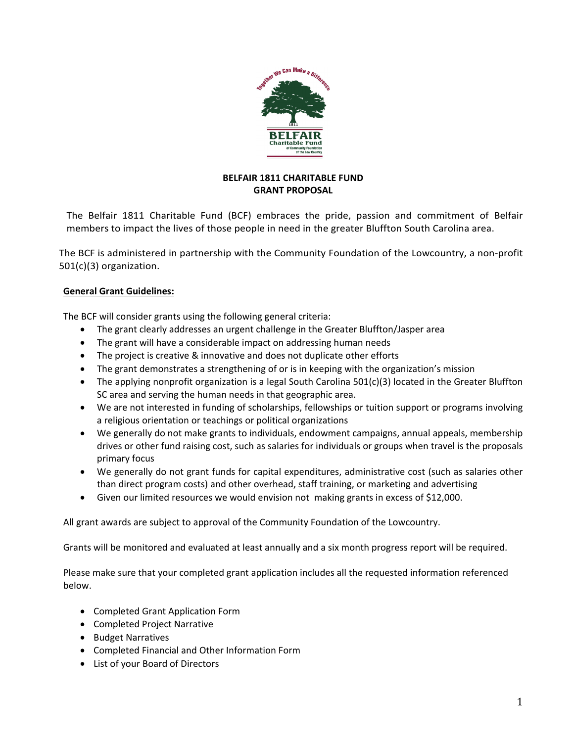

### **BELFAIR 1811 CHARITABLE FUND GRANT PROPOSAL**

The Belfair 1811 Charitable Fund (BCF) embraces the pride, passion and commitment of Belfair members to impact the lives of those people in need in the greater Bluffton South Carolina area.

The BCF is administered in partnership with the Community Foundation of the Lowcountry, a non-profit 501(c)(3) organization.

### **General Grant Guidelines:**

The BCF will consider grants using the following general criteria:

- The grant clearly addresses an urgent challenge in the Greater Bluffton/Jasper area
- The grant will have a considerable impact on addressing human needs
- The project is creative & innovative and does not duplicate other efforts
- The grant demonstrates a strengthening of or is in keeping with the organization's mission
- The applying nonprofit organization is a legal South Carolina 501(c)(3) located in the Greater Bluffton SC area and serving the human needs in that geographic area.
- We are not interested in funding of scholarships, fellowships or tuition support or programs involving a religious orientation or teachings or political organizations
- We generally do not make grants to individuals, endowment campaigns, annual appeals, membership drives or other fund raising cost, such as salaries for individuals or groups when travel is the proposals primary focus
- We generally do not grant funds for capital expenditures, administrative cost (such as salaries other than direct program costs) and other overhead, staff training, or marketing and advertising
- Given our limited resources we would envision not making grants in excess of \$12,000.

All grant awards are subject to approval of the Community Foundation of the Lowcountry.

Grants will be monitored and evaluated at least annually and a six month progress report will be required.

Please make sure that your completed grant application includes all the requested information referenced below.

- Completed Grant Application Form
- Completed Project Narrative
- Budget Narratives
- Completed Financial and Other Information Form
- List of your Board of Directors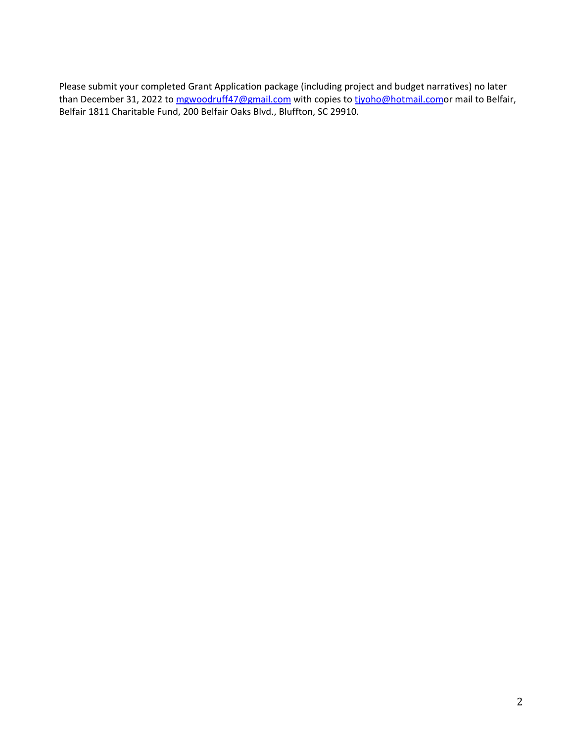Please submit your completed Grant Application package (including project and budget narratives) no later than December 31, 2022 to [mgwoodruff47@gmail.com](mailto:mgwoodruff47@gmail.com) with copies to tivoho@hotmail.comor mail to Belfair, Belfair 1811 Charitable Fund, 200 Belfair Oaks Blvd., Bluffton, SC 29910.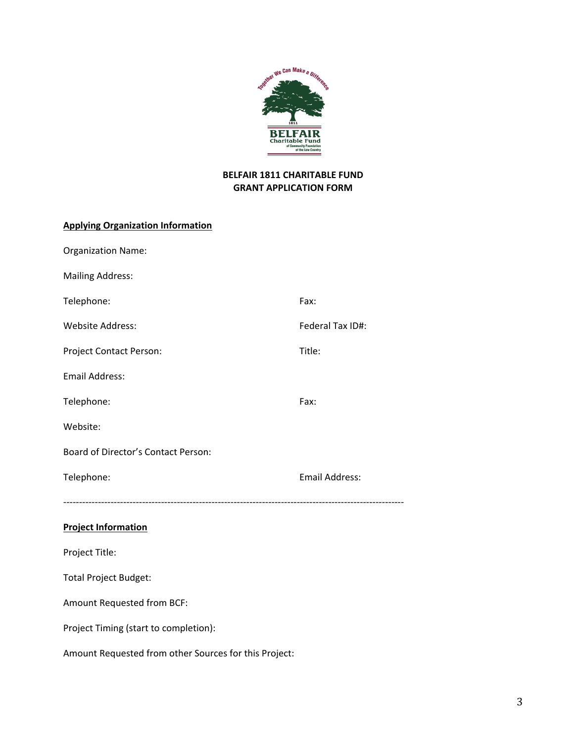

# **BELFAIR 1811 CHARITABLE FUND GRANT APPLICATION FORM**

# **Applying Organization Information**

| <b>Organization Name:</b>                             |                       |
|-------------------------------------------------------|-----------------------|
| <b>Mailing Address:</b>                               |                       |
| Telephone:                                            | Fax:                  |
| <b>Website Address:</b>                               | Federal Tax ID#:      |
| Project Contact Person:                               | Title:                |
| <b>Email Address:</b>                                 |                       |
| Telephone:                                            | Fax:                  |
| Website:                                              |                       |
| Board of Director's Contact Person:                   |                       |
| Telephone:                                            | <b>Email Address:</b> |
|                                                       |                       |
| <b>Project Information</b>                            |                       |
| Project Title:                                        |                       |
| <b>Total Project Budget:</b>                          |                       |
| Amount Requested from BCF:                            |                       |
| Project Timing (start to completion):                 |                       |
| Amount Requested from other Sources for this Project: |                       |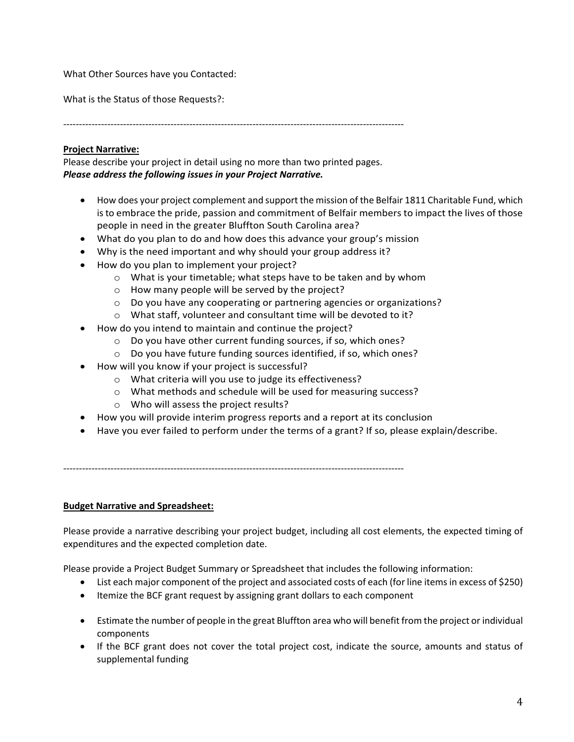What Other Sources have you Contacted:

What is the Status of those Requests?:

------------------------------------------------------------------------------------------------------------

# **Project Narrative:**

Please describe your project in detail using no more than two printed pages. *Please address the following issues in your Project Narrative.*

- How does your project complement and support the mission of the Belfair 1811 Charitable Fund, which is to embrace the pride, passion and commitment of Belfair members to impact the lives of those people in need in the greater Bluffton South Carolina area?
- What do you plan to do and how does this advance your group's mission
- Why is the need important and why should your group address it?
- How do you plan to implement your project?
	- o What is your timetable; what steps have to be taken and by whom
	- o How many people will be served by the project?
	- $\circ$  Do you have any cooperating or partnering agencies or organizations?
	- o What staff, volunteer and consultant time will be devoted to it?
- How do you intend to maintain and continue the project?
	- o Do you have other current funding sources, if so, which ones?
	- o Do you have future funding sources identified, if so, which ones?
- How will you know if your project is successful?
	- o What criteria will you use to judge its effectiveness?
	- o What methods and schedule will be used for measuring success?
	- o Who will assess the project results?
- How you will provide interim progress reports and a report at its conclusion
- Have you ever failed to perform under the terms of a grant? If so, please explain/describe.

------------------------------------------------------------------------------------------------------------

## **Budget Narrative and Spreadsheet:**

Please provide a narrative describing your project budget, including all cost elements, the expected timing of expenditures and the expected completion date.

Please provide a Project Budget Summary or Spreadsheet that includes the following information:

- List each major component of the project and associated costs of each (for line items in excess of \$250)
- Itemize the BCF grant request by assigning grant dollars to each component
- Estimate the number of people in the great Bluffton area who will benefit from the project or individual components
- If the BCF grant does not cover the total project cost, indicate the source, amounts and status of supplemental funding